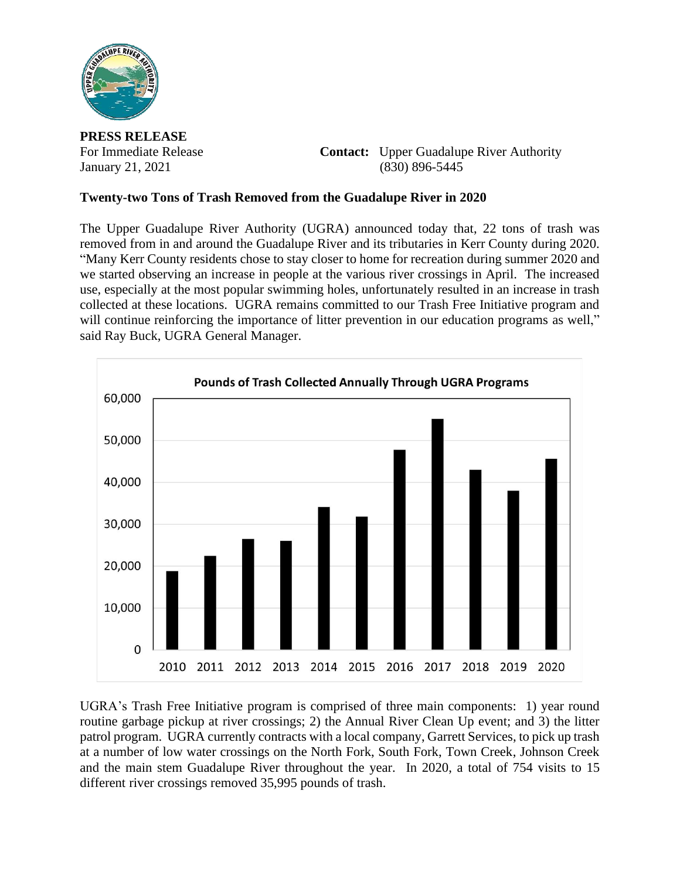

**PRESS RELEASE**

For Immediate Release **Contact:** Upper Guadalupe River Authority January 21, 2021 (830) 896-5445

## **Twenty-two Tons of Trash Removed from the Guadalupe River in 2020**

The Upper Guadalupe River Authority (UGRA) announced today that, 22 tons of trash was removed from in and around the Guadalupe River and its tributaries in Kerr County during 2020. "Many Kerr County residents chose to stay closer to home for recreation during summer 2020 and we started observing an increase in people at the various river crossings in April. The increased use, especially at the most popular swimming holes, unfortunately resulted in an increase in trash collected at these locations. UGRA remains committed to our Trash Free Initiative program and will continue reinforcing the importance of litter prevention in our education programs as well," said Ray Buck, UGRA General Manager.



UGRA's Trash Free Initiative program is comprised of three main components: 1) year round routine garbage pickup at river crossings; 2) the Annual River Clean Up event; and 3) the litter patrol program. UGRA currently contracts with a local company, Garrett Services, to pick up trash at a number of low water crossings on the North Fork, South Fork, Town Creek, Johnson Creek and the main stem Guadalupe River throughout the year. In 2020, a total of 754 visits to 15 different river crossings removed 35,995 pounds of trash.